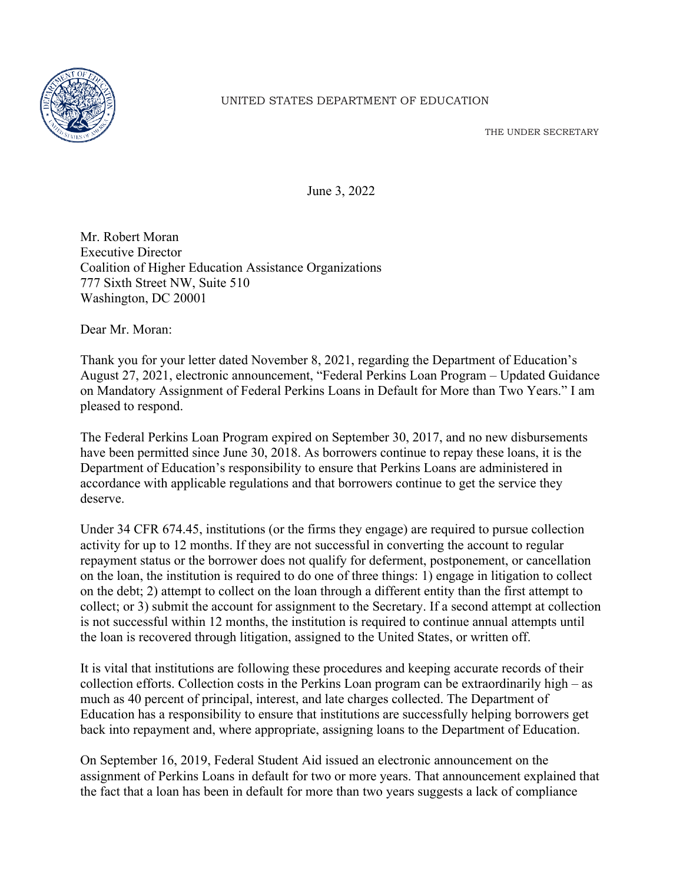

## UNITED STATES DEPARTMENT OF EDUCATION

THE UNDER SECRETARY

June 3, 2022

Mr. Robert Moran Executive Director Coalition of Higher Education Assistance Organizations 777 Sixth Street NW, Suite 510 Washington, DC 20001

Dear Mr. Moran:

Thank you for your letter dated November 8, 2021, regarding the Department of Education's August 27, 2021, electronic announcement, "Federal Perkins Loan Program – Updated Guidance on Mandatory Assignment of Federal Perkins Loans in Default for More than Two Years." I am pleased to respond.

The Federal Perkins Loan Program expired on September 30, 2017, and no new disbursements have been permitted since June 30, 2018. As borrowers continue to repay these loans, it is the Department of Education's responsibility to ensure that Perkins Loans are administered in accordance with applicable regulations and that borrowers continue to get the service they deserve.

Under 34 CFR 674.45, institutions (or the firms they engage) are required to pursue collection activity for up to 12 months. If they are not successful in converting the account to regular repayment status or the borrower does not qualify for deferment, postponement, or cancellation on the loan, the institution is required to do one of three things: 1) engage in litigation to collect on the debt; 2) attempt to collect on the loan through a different entity than the first attempt to collect; or 3) submit the account for assignment to the Secretary. If a second attempt at collection is not successful within 12 months, the institution is required to continue annual attempts until the loan is recovered through litigation, assigned to the United States, or written off.

It is vital that institutions are following these procedures and keeping accurate records of their collection efforts. Collection costs in the Perkins Loan program can be extraordinarily high – as much as 40 percent of principal, interest, and late charges collected. The Department of Education has a responsibility to ensure that institutions are successfully helping borrowers get back into repayment and, where appropriate, assigning loans to the Department of Education.

On September 16, 2019, Federal Student Aid issued an electronic announcement on the assignment of Perkins Loans in default for two or more years. That announcement explained that the fact that a loan has been in default for more than two years suggests a lack of compliance